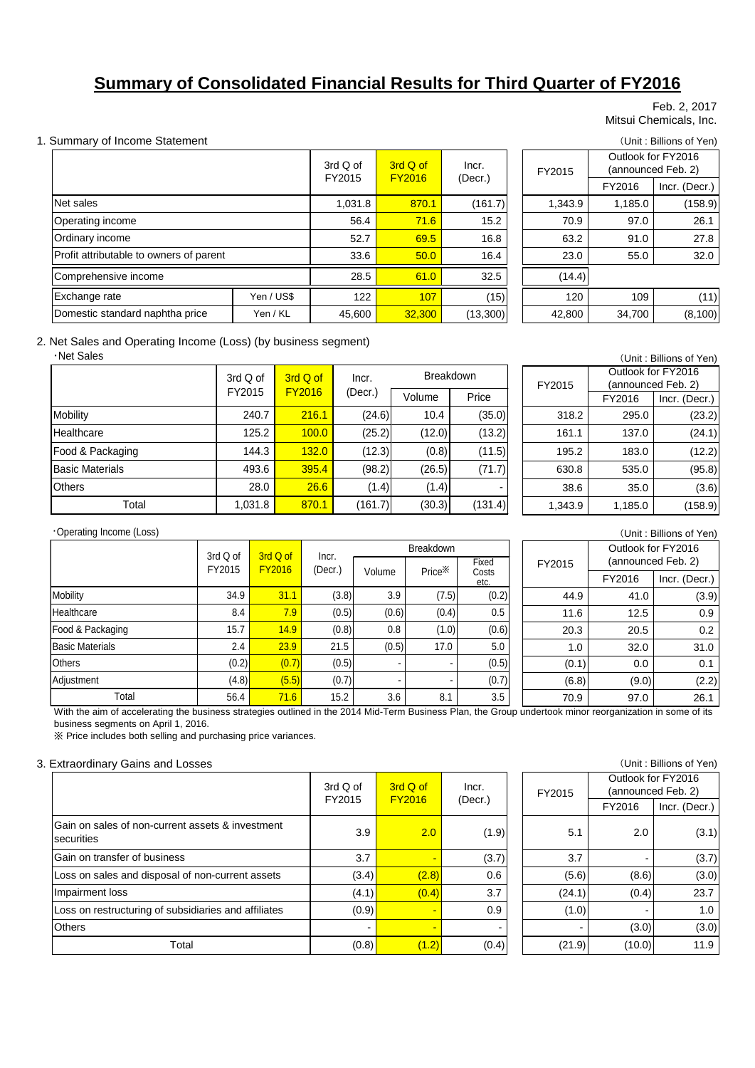# **Summary of Consolidated Financial Results for Third Quarter of FY2016**

#### Feb. 2, 2017 Mitsui Chemicals, Inc.

### 1. Summary of Income Statement (Unit: Billions of Yen)

|                                         |            | $3rdQ$ of | 3rd Q of<br><b>FY2016</b> | Incr.    | FY2015  |         | Outlook for FY2016<br>(announced Feb. 2) |
|-----------------------------------------|------------|-----------|---------------------------|----------|---------|---------|------------------------------------------|
|                                         |            | FY2015    |                           | (Decr.)  |         | FY2016  | Incr. (Decr.)                            |
| Net sales                               |            | 1,031.8   | 870.1                     | (161.7)  | 1,343.9 | 1,185.0 | (158.9)                                  |
| Operating income                        |            | 56.4      | 71.6                      | 15.2     | 70.9    | 97.0    | 26.1                                     |
| Ordinary income                         |            | 52.7      | 69.5                      | 16.8     | 63.2    | 91.0    | 27.8                                     |
| Profit attributable to owners of parent |            | 33.6      | 50.0                      | 16.4     | 23.0    | 55.0    | 32.0                                     |
| Comprehensive income                    |            | 28.5      | 61.0                      | 32.5     | (14.4)  |         |                                          |
| Exchange rate                           | Yen / US\$ | 122       | 107                       | (15)     | 120     | 109     | (11)                                     |
| Domestic standard naphtha price         | Yen / KL   | 45,600    | 32,300                    | (13,300) | 42,800  | 34,700  | (8, 100)                                 |

| d Q of<br>'2015 | 3rd Q of<br><b>FY2016</b> | Incr.    |  | FY2015  | Outlook for FY2016<br>(announced Feb. 2) |               |  |  |
|-----------------|---------------------------|----------|--|---------|------------------------------------------|---------------|--|--|
|                 |                           | (Decr.)  |  |         | FY2016                                   | Incr. (Decr.) |  |  |
| 1,031.8         | 870.1                     | (161.7)  |  | 1,343.9 | 1,185.0                                  | (158.9)       |  |  |
| 56.4            | 71.6                      | 15.2     |  | 70.9    | 97.0                                     | 26.1          |  |  |
| 52.7            | 69.5                      | 16.8     |  | 63.2    | 91.0                                     | 27.8          |  |  |
| 33.6            | 50.0                      | 16.4     |  | 23.0    | 55.0                                     | 32.0          |  |  |
| 28.5            | 61.0                      | 32.5     |  | (14.4)  |                                          |               |  |  |
| 122             | 107                       | (15)     |  | 120     | 109                                      | (11)          |  |  |
| 45.600          | 32.300                    | (13.300) |  | 42.800  | 34.700                                   | (8.100)       |  |  |

### 2. Net Sales and Operating Income (Loss) (by business segment)

・Net Sales

|                        | 3rd Q of | 3rd Q of                 | Incr.   | <b>Breakdown</b> |         |
|------------------------|----------|--------------------------|---------|------------------|---------|
|                        | FY2015   | <b>FY2016</b><br>(Decr.) |         | Volume           | Price   |
| Mobility               | 240.7    | 216.1                    | (24.6)  | 10.4             | (35.0)  |
| Healthcare             | 125.2    | 100.0                    | (25.2)  | (12.0)           | (13.2)  |
| Food & Packaging       | 144.3    | 132.0                    | (12.3)  | (0.8)            | (11.5)  |
| <b>Basic Materials</b> | 493.6    | 395.4                    | (98.2)  | (26.5)           | (71.7)  |
| <b>Others</b>          | 28.0     | 26.6                     | (1.4)   | (1.4)            |         |
| Total                  | 1,031.8  | 870.1                    | (161.7) | (30.3)           | (131.4) |

| (Unit: Billions of Yen) |                    |               |  |  |  |  |
|-------------------------|--------------------|---------------|--|--|--|--|
|                         | Outlook for FY2016 |               |  |  |  |  |
| FY2015                  | (announced Feb. 2) |               |  |  |  |  |
|                         | FY2016             | Incr. (Decr.) |  |  |  |  |
| 318.2                   | 295.0              | (23.2)        |  |  |  |  |
| 161.1                   | 137.0              | (24.1)        |  |  |  |  |
| 195.2                   | 183.0              | (12.2)        |  |  |  |  |
| 630.8                   | 535.0              | (95.8)        |  |  |  |  |
|                         |                    |               |  |  |  |  |

38.6 35.0 (3.6) 1,343.9 1,185.0 (158.9)

#### ・Operating Income (Loss)

| Operating Income (Loss) |          |               |         |                    |                    |               |        |                                          | (Unit: Billions of Yen) |
|-------------------------|----------|---------------|---------|--------------------|--------------------|---------------|--------|------------------------------------------|-------------------------|
|                         | 3rd Q of | 3rd Q of      | Incr.   | Breakdown<br>Fixed |                    |               | FY2015 | Outlook for FY2016<br>(announced Feb. 2) |                         |
|                         | FY2015   | <b>FY2016</b> | (Dec. ) | Volume             | Price <sup>X</sup> | Costs<br>etc. |        | FY2016                                   | Incr. (Decr.)           |
| Mobility                | 34.9     | 31.1          | (3.8)   | 3.9                | (7.5)              | (0.2)         | 44.9   | 41.0                                     | (3.9)                   |
| Healthcare              | 8.4      | 7.9           | (0.5)   | (0.6)              | (0.4)              | 0.5           | 11.6   | 12.5                                     | 0.9                     |
| Food & Packaging        | 15.7     | 14.9          | (0.8)   | 0.8                | (1.0)              | (0.6)         | 20.3   | 20.5                                     | 0.2                     |
| <b>Basic Materials</b>  | 2.4      | 23.9          | 21.5    | (0.5)              | 17.0               | 5.0           | 1.0    | 32.0                                     | 31.0                    |
| <b>Others</b>           | (0.2)    | (0.7)         | (0.5)   |                    |                    | (0.5)         | (0.1)  | 0.0                                      | 0.1                     |
| Adjustment              | (4.8)    | (5.5)         | (0.7)   |                    |                    | (0.7)         | (6.8)  | (9.0)                                    | (2.2)                   |
| Total                   | 56.4     | 71.6          | 15.2    | 3.6                | 8.1                | 3.5           | 70.9   | 97.0                                     | 26.1                    |

With the aim of accelerating the business strategies outlined in the 2014 Mid-Term Business Plan, the Group undertook minor reorganization in some of its business segments on April 1, 2016.

※ Price includes both selling and purchasing price variances.

### 3. Extraordinary Gains and Losses (Unit : Billions of Yen)

|                                                                | $3rdQ$ of | 3rd Q of      | Incr.   | FY2015 | Outlook for FY2016<br>(announced Feb. 2) |               |
|----------------------------------------------------------------|-----------|---------------|---------|--------|------------------------------------------|---------------|
|                                                                | FY2015    | <b>FY2016</b> | (Decr.) |        | FY2016                                   | Incr. (Decr.) |
| Gain on sales of non-current assets & investment<br>securities | 3.9       | 2.0           | (1.9)   | 5.1    | 2.0                                      | (3.1)         |
| Gain on transfer of business                                   | 3.7       |               | (3.7)   | 3.7    |                                          | (3.7)         |
| Loss on sales and disposal of non-current assets               | (3.4)     | (2.8)         | 0.6     | (5.6)  | (8.6)                                    | (3.0)         |
| Impairment loss                                                | (4.1)     | (0.4)         | 3.7     | (24.1) | (0.4)                                    | 23.7          |
| Loss on restructuring of subsidiaries and affiliates           | (0.9)     | -             | 0.9     | (1.0)  |                                          | 1.0           |
| <b>Others</b>                                                  |           |               |         |        | (3.0)                                    | (3.0)         |
| Total                                                          | (0.8)     | (1.2)         | (0.4)   | (21.9) | (10.0)                                   | 11.9          |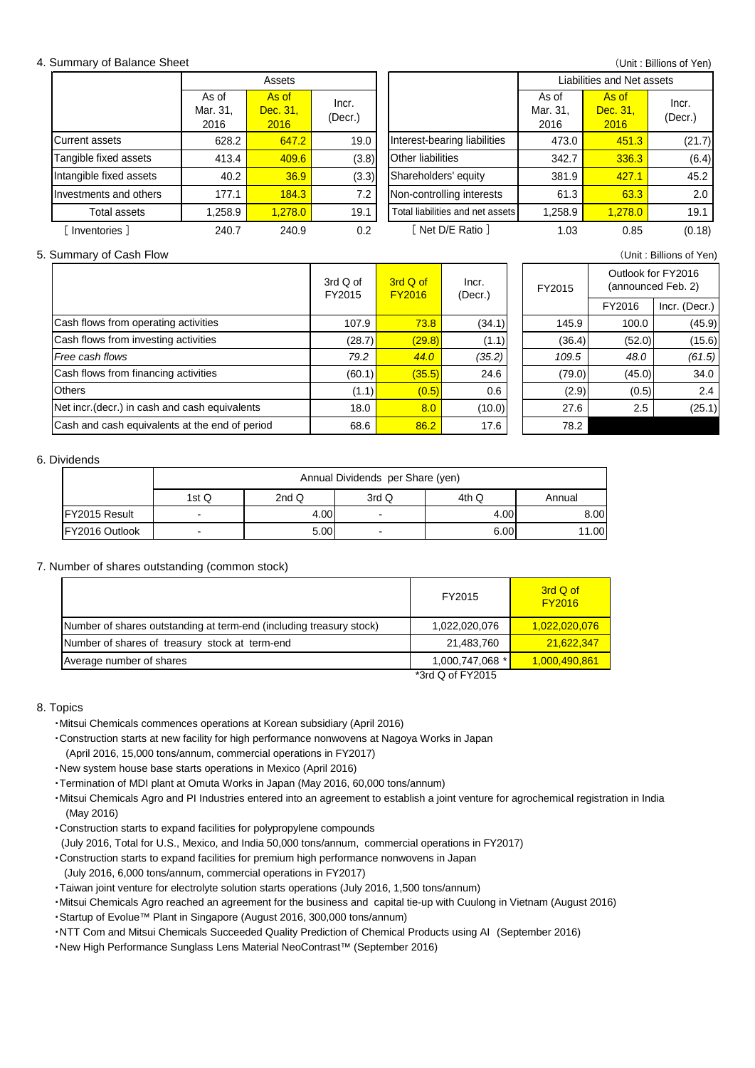#### 4. Summary of Balance Sheet

|  | (Unit: Billions of Yen) |  |  |  |
|--|-------------------------|--|--|--|
|--|-------------------------|--|--|--|

|                         | Assets                    |                           |                  | Liabilities and Net assets       |                           |                           |                  |
|-------------------------|---------------------------|---------------------------|------------------|----------------------------------|---------------------------|---------------------------|------------------|
|                         | As of<br>Mar. 31,<br>2016 | As of<br>Dec. 31,<br>2016 | Incr.<br>(Decr.) |                                  | As of<br>Mar. 31,<br>2016 | As of<br>Dec. 31,<br>2016 | Incr.<br>(Decr.) |
| Current assets          | 628.2                     | 647.2                     | 19.0             | Interest-bearing liabilities     | 473.0                     | 451.3                     | (21.7)           |
| Tangible fixed assets   | 413.4                     | 409.6                     | (3.8)            | Other liabilities                | 342.7                     | 336.3                     | (6.4)            |
| Intangible fixed assets | 40.2                      | 36.9                      | (3.3)            | Shareholders' equity             | 381.9                     | 427.1                     | 45.2             |
| Investments and others  | 177.1                     | 184.3                     | 7.2              | Non-controlling interests        | 61.3                      | 63.3                      | 2.0              |
| Total assets            | ,258.9                    | 1.278.0                   | 19.1             | Total liabilities and net assets | 1,258.9                   | 1,278.0                   | 19.1             |
| Inventories ]           | 240.7                     | 240.9                     | 0.2              | Net D/E Ratio 1                  | 1.03                      | 0.85                      | (0.18)           |

#### 5. Summary of Cash Flow (Unit : Billions of Yen)

|                                                | 3rd Q of<br>FY2015 | 3rd Q of<br><b>FY2016</b> | Incr.<br>(Decr.) | FY2015 | Outlook for FY2016<br>(announced Feb. 2) |               |
|------------------------------------------------|--------------------|---------------------------|------------------|--------|------------------------------------------|---------------|
|                                                |                    |                           |                  |        | FY2016                                   | Incr. (Decr.) |
| Cash flows from operating activities           | 107.9              | 73.8                      | (34.1)           | 145.9  | 100.0                                    | (45.9)        |
| Cash flows from investing activities           | (28.7)             | (29.8)                    | (1.1)            | (36.4) | (52.0)                                   | (15.6)        |
| Free cash flows                                | 79.2               | 44.0                      | (35.2)           | 109.5  | 48.0                                     | (61.5)        |
| Cash flows from financing activities           | (60.1)             | (35.5)                    | 24.6             | (79.0) | (45.0)                                   | 34.0          |
| <b>Others</b>                                  | (1.1)              | (0.5)                     | 0.6              | (2.9)  | (0.5)                                    | 2.4           |
| Net incr. (decr.) in cash and cash equivalents | 18.0               | 8.0                       | (10.0)           | 27.6   | 2.5                                      | (25.1)        |
| Cash and cash equivalents at the end of period | 68.6               | 86.2                      | 17.6             | 78.2   |                                          |               |

#### 6. Dividends

|                       | Annual Dividends per Share (yen) |      |                          |       |        |  |  |  |
|-----------------------|----------------------------------|------|--------------------------|-------|--------|--|--|--|
|                       | 1st Q                            | 2ndQ | 3rd Q                    | 4th Q | Annual |  |  |  |
| <b>IFY2015 Result</b> | -                                | 4.00 | $\overline{\phantom{0}}$ | 4.00  | 8.00   |  |  |  |
| IFY2016 Outlook       | -                                | 5.00 | $\overline{\phantom{0}}$ | 6.00  | 11.00  |  |  |  |

### 7. Number of shares outstanding (common stock)

|                                                                     | FY2015           | 3rd Q of<br><b>FY2016</b> |
|---------------------------------------------------------------------|------------------|---------------------------|
| Number of shares outstanding at term-end (including treasury stock) | 1,022,020,076    | 1.022.020.076             |
| Number of shares of treasury stock at term-end                      | 21,483,760       | 21.622.347                |
| Average number of shares                                            | 1,000,747,068 *  | 1,000,490,861             |
|                                                                     | *3rd Q of FY2015 |                           |

#### 8. Topics

・Mitsui Chemicals commences operations at Korean subsidiary (April 2016)

- ・Construction starts at new facility for high performance nonwovens at Nagoya Works in Japan (April 2016, 15,000 tons/annum, commercial operations in FY2017)
- ・New system house base starts operations in Mexico (April 2016)
- ・Termination of MDI plant at Omuta Works in Japan (May 2016, 60,000 tons/annum)
- ・Mitsui Chemicals Agro and PI Industries entered into an agreement to establish a joint venture for agrochemical registration in India (May 2016)
- ・Construction starts to expand facilities for polypropylene compounds
- (July 2016, Total for U.S., Mexico, and India 50,000 tons/annum, commercial operations in FY2017)
- ・Construction starts to expand facilities for premium high performance nonwovens in Japan
	- (July 2016, 6,000 tons/annum, commercial operations in FY2017)
- ・Taiwan joint venture for electrolyte solution starts operations (July 2016, 1,500 tons/annum)
- ・Mitsui Chemicals Agro reached an agreement for the business and capital tie-up with Cuulong in Vietnam (August 2016)
- ・Startup of Evolue™ Plant in Singapore (August 2016, 300,000 tons/annum)
- ・NTT Com and Mitsui Chemicals Succeeded Quality Prediction of Chemical Products using AI (September 2016)
- ・New High Performance Sunglass Lens Material NeoContrast™ (September 2016)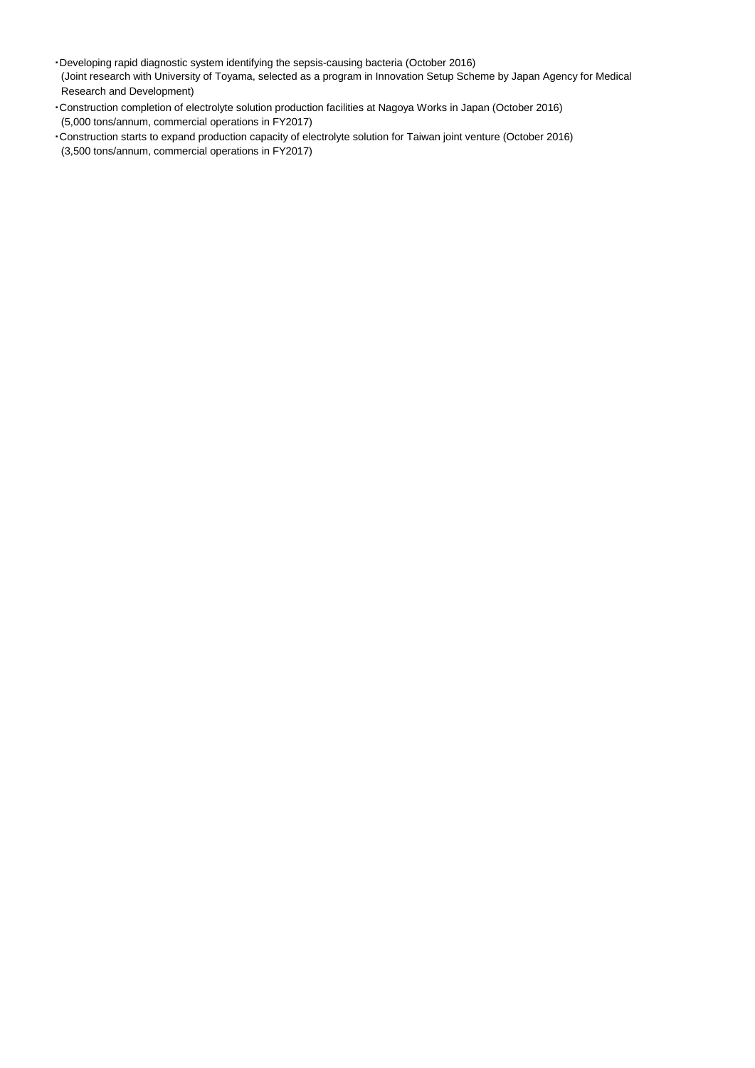- ・Developing rapid diagnostic system identifying the sepsis-causing bacteria (October 2016) (Joint research with University of Toyama, selected as a program in Innovation Setup Scheme by Japan Agency for Medical Research and Development)
- ・Construction completion of electrolyte solution production facilities at Nagoya Works in Japan (October 2016) (5,000 tons/annum, commercial operations in FY2017)
- ・Construction starts to expand production capacity of electrolyte solution for Taiwan joint venture (October 2016) (3,500 tons/annum, commercial operations in FY2017)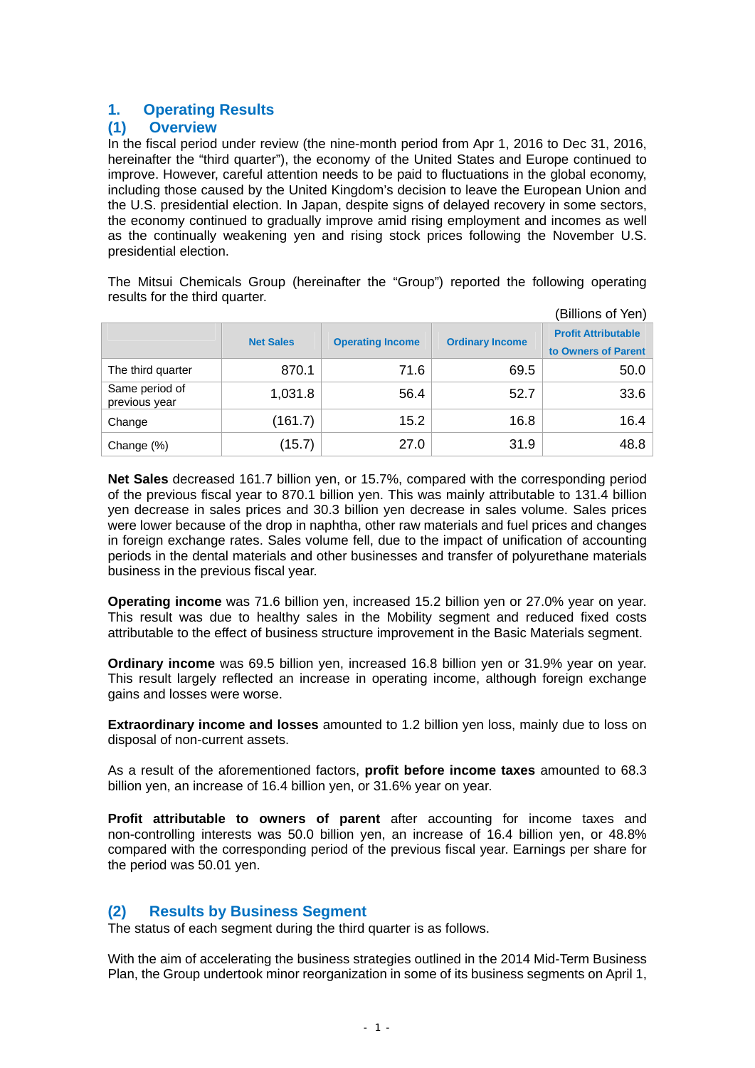# **1. Operating Results**

# **(1) Overview**

In the fiscal period under review (the nine-month period from Apr 1, 2016 to Dec 31, 2016, hereinafter the "third quarter"), the economy of the United States and Europe continued to improve. However, careful attention needs to be paid to fluctuations in the global economy, including those caused by the United Kingdom's decision to leave the European Union and the U.S. presidential election. In Japan, despite signs of delayed recovery in some sectors, the economy continued to gradually improve amid rising employment and incomes as well as the continually weakening yen and rising stock prices following the November U.S. presidential election.

The Mitsui Chemicals Group (hereinafter the "Group") reported the following operating results for the third quarter.

|                                 |                  |                         |                        | (Billions of Yen)                                 |
|---------------------------------|------------------|-------------------------|------------------------|---------------------------------------------------|
|                                 | <b>Net Sales</b> | <b>Operating Income</b> | <b>Ordinary Income</b> | <b>Profit Attributable</b><br>to Owners of Parent |
| The third quarter               | 870.1            | 71.6                    | 69.5                   | 50.0                                              |
| Same period of<br>previous year | 1,031.8          | 56.4                    | 52.7                   | 33.6                                              |
| Change                          | (161.7)          | 15.2                    | 16.8                   | 16.4                                              |
| Change (%)                      | (15.7)           | 27.0                    | 31.9                   | 48.8                                              |

**Net Sales** decreased 161.7 billion yen, or 15.7%, compared with the corresponding period of the previous fiscal year to 870.1 billion yen. This was mainly attributable to 131.4 billion yen decrease in sales prices and 30.3 billion yen decrease in sales volume. Sales prices were lower because of the drop in naphtha, other raw materials and fuel prices and changes in foreign exchange rates. Sales volume fell, due to the impact of unification of accounting periods in the dental materials and other businesses and transfer of polyurethane materials business in the previous fiscal year.

**Operating income** was 71.6 billion yen, increased 15.2 billion yen or 27.0% year on year. This result was due to healthy sales in the Mobility segment and reduced fixed costs attributable to the effect of business structure improvement in the Basic Materials segment.

**Ordinary income** was 69.5 billion yen, increased 16.8 billion yen or 31.9% year on year. This result largely reflected an increase in operating income, although foreign exchange gains and losses were worse.

**Extraordinary income and losses** amounted to 1.2 billion yen loss, mainly due to loss on disposal of non-current assets.

As a result of the aforementioned factors, **profit before income taxes** amounted to 68.3 billion yen, an increase of 16.4 billion yen, or 31.6% year on year.

**Profit attributable to owners of parent** after accounting for income taxes and non-controlling interests was 50.0 billion yen, an increase of 16.4 billion yen, or 48.8% compared with the corresponding period of the previous fiscal year. Earnings per share for the period was 50.01 yen.

# **(2) Results by Business Segment**

The status of each segment during the third quarter is as follows.

With the aim of accelerating the business strategies outlined in the 2014 Mid-Term Business Plan, the Group undertook minor reorganization in some of its business segments on April 1,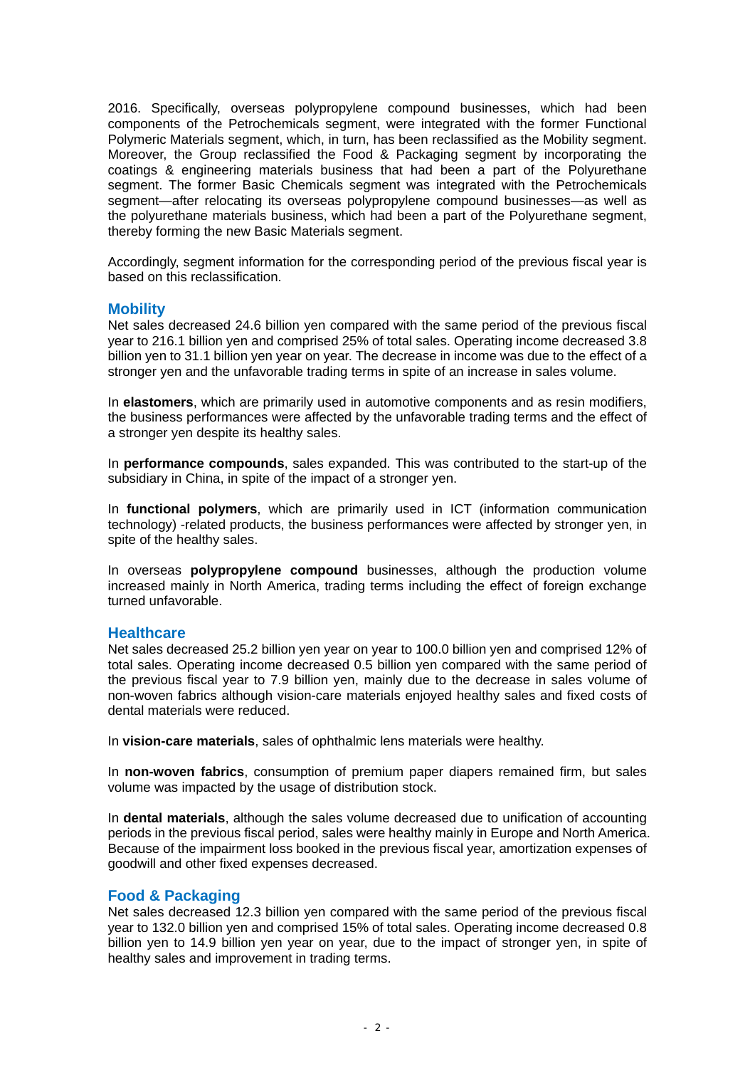2016. Specifically, overseas polypropylene compound businesses, which had been components of the Petrochemicals segment, were integrated with the former Functional Polymeric Materials segment, which, in turn, has been reclassified as the Mobility segment. Moreover, the Group reclassified the Food & Packaging segment by incorporating the coatings & engineering materials business that had been a part of the Polyurethane segment. The former Basic Chemicals segment was integrated with the Petrochemicals segment—after relocating its overseas polypropylene compound businesses—as well as the polyurethane materials business, which had been a part of the Polyurethane segment, thereby forming the new Basic Materials segment.

Accordingly, segment information for the corresponding period of the previous fiscal year is based on this reclassification.

### **Mobility**

Net sales decreased 24.6 billion yen compared with the same period of the previous fiscal year to 216.1 billion yen and comprised 25% of total sales. Operating income decreased 3.8 billion yen to 31.1 billion yen year on year. The decrease in income was due to the effect of a stronger yen and the unfavorable trading terms in spite of an increase in sales volume.

In **elastomers**, which are primarily used in automotive components and as resin modifiers, the business performances were affected by the unfavorable trading terms and the effect of a stronger yen despite its healthy sales.

In **performance compounds**, sales expanded. This was contributed to the start-up of the subsidiary in China, in spite of the impact of a stronger yen.

In **functional polymers**, which are primarily used in ICT (information communication technology) -related products, the business performances were affected by stronger yen, in spite of the healthy sales.

In overseas **polypropylene compound** businesses, although the production volume increased mainly in North America, trading terms including the effect of foreign exchange turned unfavorable.

### **Healthcare**

Net sales decreased 25.2 billion yen year on year to 100.0 billion yen and comprised 12% of total sales. Operating income decreased 0.5 billion yen compared with the same period of the previous fiscal year to 7.9 billion yen, mainly due to the decrease in sales volume of non-woven fabrics although vision-care materials enjoyed healthy sales and fixed costs of dental materials were reduced.

In **vision-care materials**, sales of ophthalmic lens materials were healthy.

In **non-woven fabrics**, consumption of premium paper diapers remained firm, but sales volume was impacted by the usage of distribution stock.

In **dental materials**, although the sales volume decreased due to unification of accounting periods in the previous fiscal period, sales were healthy mainly in Europe and North America. Because of the impairment loss booked in the previous fiscal year, amortization expenses of goodwill and other fixed expenses decreased.

### **Food & Packaging**

Net sales decreased 12.3 billion yen compared with the same period of the previous fiscal year to 132.0 billion yen and comprised 15% of total sales. Operating income decreased 0.8 billion yen to 14.9 billion yen year on year, due to the impact of stronger yen, in spite of healthy sales and improvement in trading terms.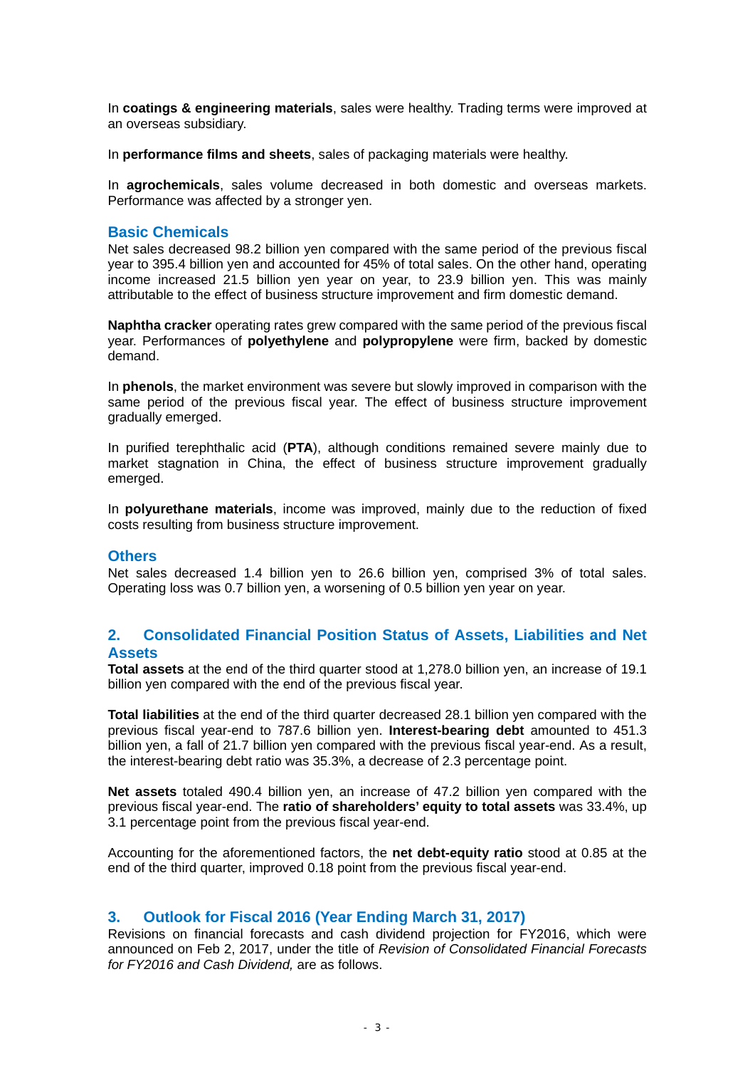In **coatings & engineering materials**, sales were healthy. Trading terms were improved at an overseas subsidiary.

In **performance films and sheets**, sales of packaging materials were healthy.

In **agrochemicals**, sales volume decreased in both domestic and overseas markets. Performance was affected by a stronger yen.

### **Basic Chemicals**

Net sales decreased 98.2 billion yen compared with the same period of the previous fiscal year to 395.4 billion yen and accounted for 45% of total sales. On the other hand, operating income increased 21.5 billion yen year on year, to 23.9 billion yen. This was mainly attributable to the effect of business structure improvement and firm domestic demand.

**Naphtha cracker** operating rates grew compared with the same period of the previous fiscal year. Performances of **polyethylene** and **polypropylene** were firm, backed by domestic demand.

In **phenols**, the market environment was severe but slowly improved in comparison with the same period of the previous fiscal year. The effect of business structure improvement gradually emerged.

In purified terephthalic acid (**PTA**), although conditions remained severe mainly due to market stagnation in China, the effect of business structure improvement gradually emerged.

In **polyurethane materials**, income was improved, mainly due to the reduction of fixed costs resulting from business structure improvement.

### **Others**

Net sales decreased 1.4 billion yen to 26.6 billion yen, comprised 3% of total sales. Operating loss was 0.7 billion yen, a worsening of 0.5 billion yen year on year.

# **2. Consolidated Financial Position Status of Assets, Liabilities and Net Assets**

**Total assets** at the end of the third quarter stood at 1,278.0 billion yen, an increase of 19.1 billion yen compared with the end of the previous fiscal year.

**Total liabilities** at the end of the third quarter decreased 28.1 billion yen compared with the previous fiscal year-end to 787.6 billion yen. **Interest-bearing debt** amounted to 451.3 billion yen, a fall of 21.7 billion yen compared with the previous fiscal year-end. As a result, the interest-bearing debt ratio was 35.3%, a decrease of 2.3 percentage point.

**Net assets** totaled 490.4 billion yen, an increase of 47.2 billion yen compared with the previous fiscal year-end. The **ratio of shareholders' equity to total assets** was 33.4%, up 3.1 percentage point from the previous fiscal year-end.

Accounting for the aforementioned factors, the **net debt-equity ratio** stood at 0.85 at the end of the third quarter, improved 0.18 point from the previous fiscal year-end.

# **3. Outlook for Fiscal 2016 (Year Ending March 31, 2017)**

Revisions on financial forecasts and cash dividend projection for FY2016, which were announced on Feb 2, 2017, under the title of *Revision of Consolidated Financial Forecasts for FY2016 and Cash Dividend,* are as follows.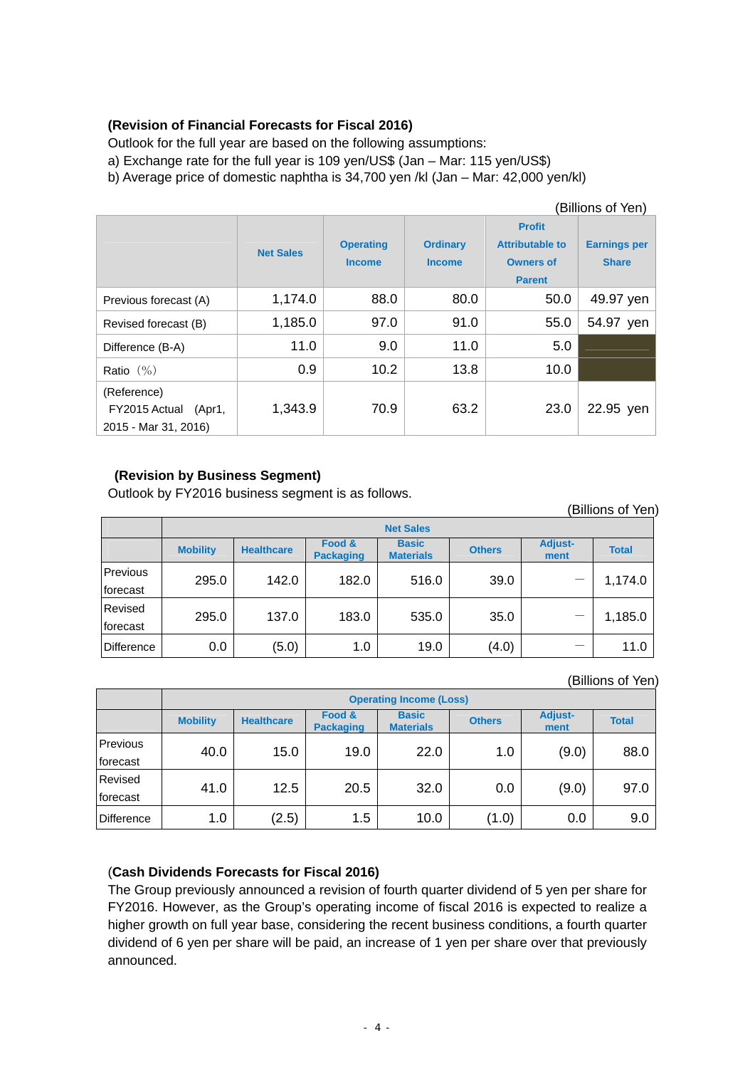# **(Revision of Financial Forecasts for Fiscal 2016)**

Outlook for the full year are based on the following assumptions:

a) Exchange rate for the full year is 109 yen/US\$ (Jan – Mar: 115 yen/US\$)

b) Average price of domestic naphtha is 34,700 yen /kl (Jan – Mar: 42,000 yen/kl)

| (Billions of Yen)                                              |                  |                                   |                                  |                                                                              |                                     |  |
|----------------------------------------------------------------|------------------|-----------------------------------|----------------------------------|------------------------------------------------------------------------------|-------------------------------------|--|
|                                                                | <b>Net Sales</b> | <b>Operating</b><br><b>Income</b> | <b>Ordinary</b><br><b>Income</b> | <b>Profit</b><br><b>Attributable to</b><br><b>Owners of</b><br><b>Parent</b> | <b>Earnings per</b><br><b>Share</b> |  |
| Previous forecast (A)                                          | 1,174.0          | 88.0                              | 80.0                             | 50.0                                                                         | 49.97 yen                           |  |
| Revised forecast (B)                                           | 1,185.0          | 97.0                              | 91.0                             | 55.0                                                                         | 54.97 yen                           |  |
| Difference (B-A)                                               | 11.0             | 9.0                               | 11.0                             | 5.0                                                                          |                                     |  |
| Ratio $(\% )$                                                  | 0.9              | 10.2                              | 13.8                             | 10.0                                                                         |                                     |  |
| (Reference)<br>FY2015 Actual<br>(Apr1,<br>2015 - Mar 31, 2016) | 1,343.9          | 70.9                              | 63.2                             | 23.0                                                                         | 22.95 yen                           |  |

# **(Revision by Business Segment)**

Outlook by FY2016 business segment is as follows.

|                      | (Billions of Yen) |                   |                            |                                  |               |                        |              |  |
|----------------------|-------------------|-------------------|----------------------------|----------------------------------|---------------|------------------------|--------------|--|
|                      | <b>Net Sales</b>  |                   |                            |                                  |               |                        |              |  |
|                      | <b>Mobility</b>   | <b>Healthcare</b> | Food &<br><b>Packaging</b> | <b>Basic</b><br><b>Materials</b> | <b>Others</b> | <b>Adjust-</b><br>ment | <b>Total</b> |  |
| Previous<br>forecast | 295.0             | 142.0             | 182.0                      | 516.0                            | 39.0          |                        | 1,174.0      |  |
| Revised<br>forecast  | 295.0             | 137.0             | 183.0                      | 535.0                            | 35.0          |                        | 1,185.0      |  |
| Difference           | 0.0               | (5.0)             | 1.0                        | 19.0                             | (4.0)         |                        | 11.0         |  |

(Billions of Yen)

|                   | <b>Operating Income (Loss)</b> |                   |                            |                                  |               |                        |              |  |
|-------------------|--------------------------------|-------------------|----------------------------|----------------------------------|---------------|------------------------|--------------|--|
|                   | <b>Mobility</b>                | <b>Healthcare</b> | Food &<br><b>Packaging</b> | <b>Basic</b><br><b>Materials</b> | <b>Others</b> | <b>Adjust-</b><br>ment | <b>Total</b> |  |
| Previous          | 40.0                           | 15.0              | 19.0                       | 22.0                             | 1.0           | (9.0)                  | 88.0         |  |
| forecast          |                                |                   |                            |                                  |               |                        |              |  |
| Revised           |                                | 12.5              | 20.5                       | 32.0                             | 0.0           | (9.0)                  | 97.0         |  |
| forecast          | 41.0                           |                   |                            |                                  |               |                        |              |  |
| <b>Difference</b> | 1.0                            | (2.5)             | 1.5                        | 10.0                             | (1.0)         | 0.0                    | 9.0          |  |

# (**Cash Dividends Forecasts for Fiscal 2016)**

The Group previously announced a revision of fourth quarter dividend of 5 yen per share for FY2016. However, as the Group's operating income of fiscal 2016 is expected to realize a higher growth on full year base, considering the recent business conditions, a fourth quarter dividend of 6 yen per share will be paid, an increase of 1 yen per share over that previously announced.